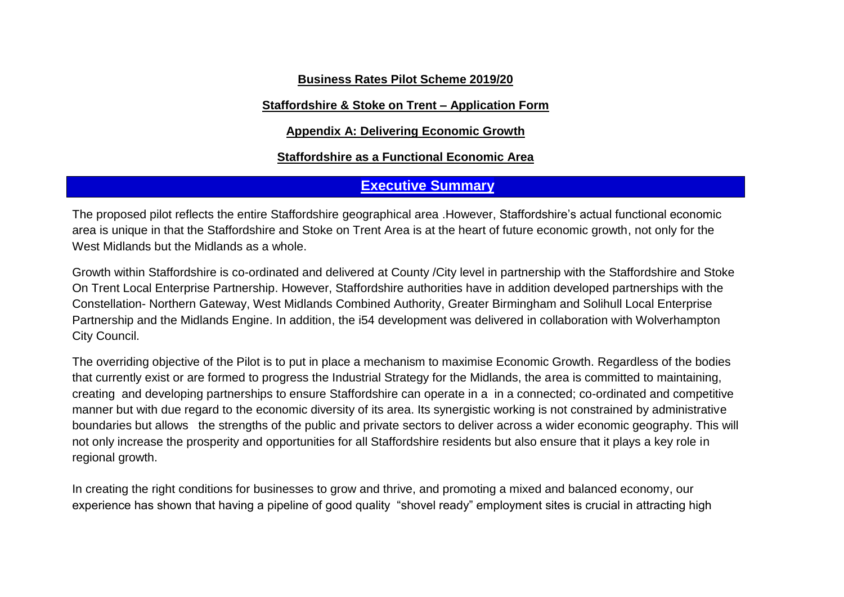#### **Business Rates Pilot Scheme 2019/20**

**Staffordshire & Stoke on Trent – Application Form** 

**Appendix A: Delivering Economic Growth**

**Staffordshire as a Functional Economic Area** 

## **Executive Summary**

The proposed pilot reflects the entire Staffordshire geographical area .However, Staffordshire's actual functional economic area is unique in that the Staffordshire and Stoke on Trent Area is at the heart of future economic growth, not only for the West Midlands but the Midlands as a whole.

Growth within Staffordshire is co-ordinated and delivered at County /City level in partnership with the Staffordshire and Stoke On Trent Local Enterprise Partnership. However, Staffordshire authorities have in addition developed partnerships with the Constellation- Northern Gateway, West Midlands Combined Authority, Greater Birmingham and Solihull Local Enterprise Partnership and the Midlands Engine. In addition, the i54 development was delivered in collaboration with Wolverhampton City Council.

The overriding objective of the Pilot is to put in place a mechanism to maximise Economic Growth. Regardless of the bodies that currently exist or are formed to progress the Industrial Strategy for the Midlands, the area is committed to maintaining, creating and developing partnerships to ensure Staffordshire can operate in a in a connected; co-ordinated and competitive manner but with due regard to the economic diversity of its area. Its synergistic working is not constrained by administrative boundaries but allows the strengths of the public and private sectors to deliver across a wider economic geography. This will not only increase the prosperity and opportunities for all Staffordshire residents but also ensure that it plays a key role in regional growth.

In creating the right conditions for businesses to grow and thrive, and promoting a mixed and balanced economy, our experience has shown that having a pipeline of good quality "shovel ready" employment sites is crucial in attracting high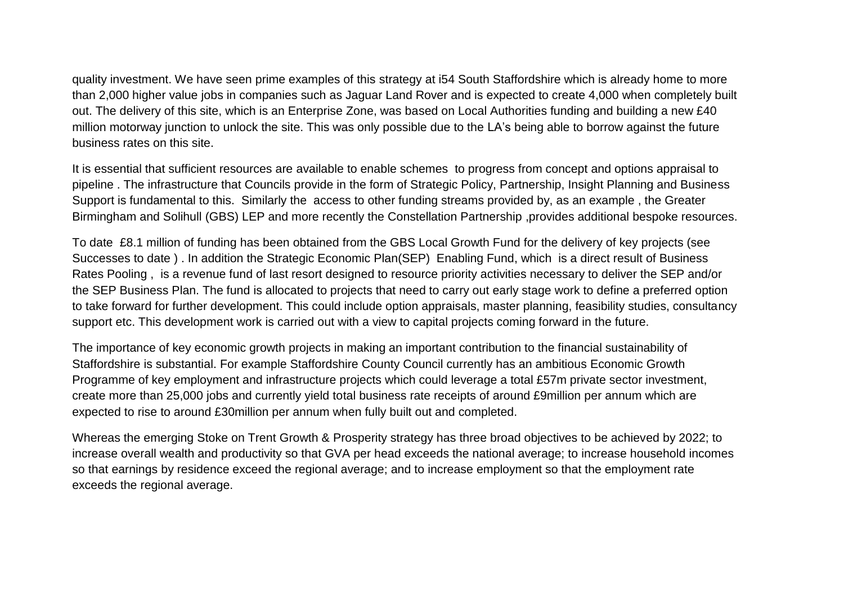quality investment. We have seen prime examples of this strategy at i54 South Staffordshire which is already home to more than 2,000 higher value jobs in companies such as Jaguar Land Rover and is expected to create 4,000 when completely built out. The delivery of this site, which is an Enterprise Zone, was based on Local Authorities funding and building a new £40 million motorway junction to unlock the site. This was only possible due to the LA's being able to borrow against the future business rates on this site.

It is essential that sufficient resources are available to enable schemes to progress from concept and options appraisal to pipeline . The infrastructure that Councils provide in the form of Strategic Policy, Partnership, Insight Planning and Business Support is fundamental to this. Similarly the access to other funding streams provided by, as an example , the Greater Birmingham and Solihull (GBS) LEP and more recently the Constellation Partnership ,provides additional bespoke resources.

To date £8.1 million of funding has been obtained from the GBS Local Growth Fund for the delivery of key projects (see Successes to date ) . In addition the Strategic Economic Plan(SEP) Enabling Fund, which is a direct result of Business Rates Pooling , is a revenue fund of last resort designed to resource priority activities necessary to deliver the SEP and/or the SEP Business Plan. The fund is allocated to projects that need to carry out early stage work to define a preferred option to take forward for further development. This could include option appraisals, master planning, feasibility studies, consultancy support etc. This development work is carried out with a view to capital projects coming forward in the future.

The importance of key economic growth projects in making an important contribution to the financial sustainability of Staffordshire is substantial. For example Staffordshire County Council currently has an ambitious Economic Growth Programme of key employment and infrastructure projects which could leverage a total £57m private sector investment, create more than 25,000 jobs and currently yield total business rate receipts of around £9million per annum which are expected to rise to around £30million per annum when fully built out and completed.

Whereas the emerging Stoke on Trent Growth & Prosperity strategy has three broad objectives to be achieved by 2022; to increase overall wealth and productivity so that GVA per head exceeds the national average; to increase household incomes so that earnings by residence exceed the regional average; and to increase employment so that the employment rate exceeds the regional average.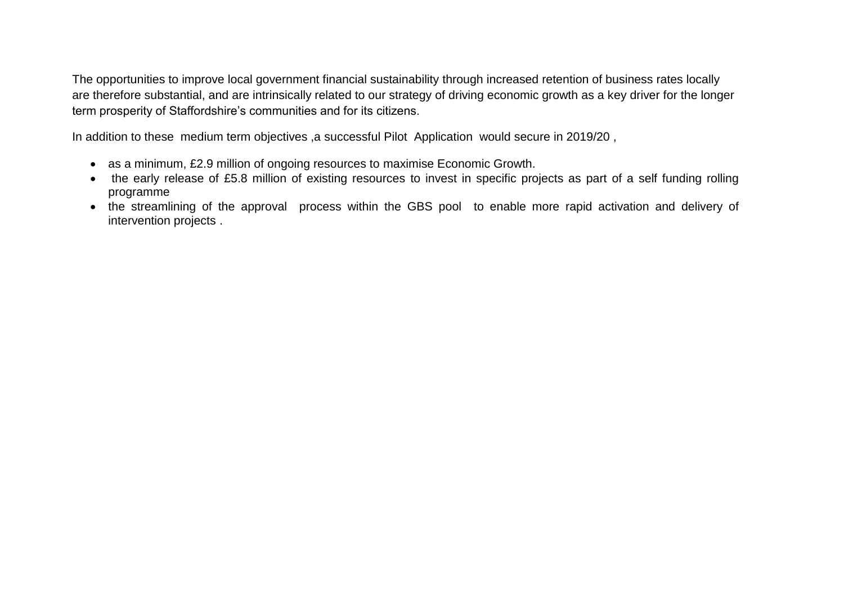The opportunities to improve local government financial sustainability through increased retention of business rates locally are therefore substantial, and are intrinsically related to our strategy of driving economic growth as a key driver for the longer term prosperity of Staffordshire's communities and for its citizens.

In addition to these medium term objectives ,a successful Pilot Application would secure in 2019/20 ,

- as a minimum, £2.9 million of ongoing resources to maximise Economic Growth.
- the early release of £5.8 million of existing resources to invest in specific projects as part of a self funding rolling programme
- the streamlining of the approval process within the GBS pool to enable more rapid activation and delivery of intervention projects .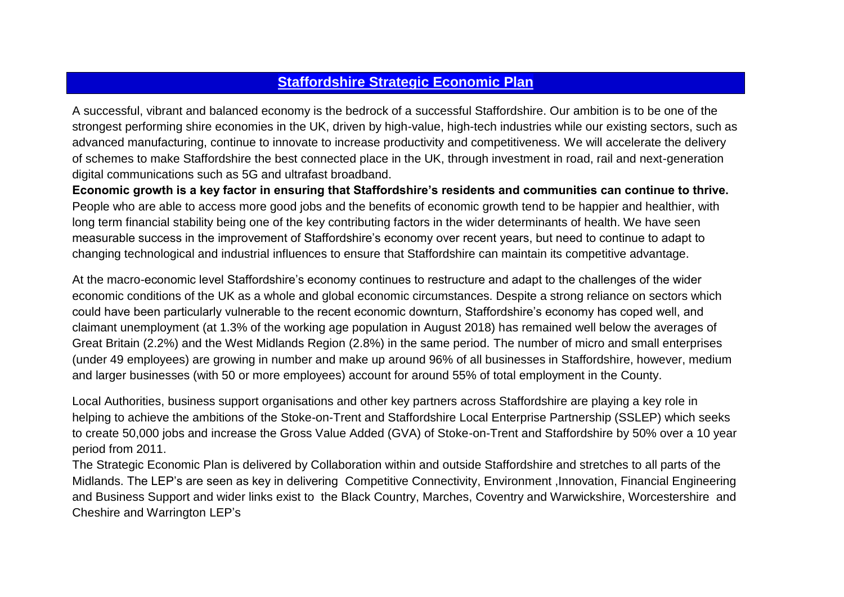## **Staffordshire Strategic Economic Plan**

A successful, vibrant and balanced economy is the bedrock of a successful Staffordshire. Our ambition is to be one of the strongest performing shire economies in the UK, driven by high-value, high-tech industries while our existing sectors, such as advanced manufacturing, continue to innovate to increase productivity and competitiveness. We will accelerate the delivery of schemes to make Staffordshire the best connected place in the UK, through investment in road, rail and next-generation digital communications such as 5G and ultrafast broadband.

**Economic growth is a key factor in ensuring that Staffordshire's residents and communities can continue to thrive.**  People who are able to access more good jobs and the benefits of economic growth tend to be happier and healthier, with long term financial stability being one of the key contributing factors in the wider determinants of health. We have seen measurable success in the improvement of Staffordshire's economy over recent years, but need to continue to adapt to changing technological and industrial influences to ensure that Staffordshire can maintain its competitive advantage.

At the macro-economic level Staffordshire's economy continues to restructure and adapt to the challenges of the wider economic conditions of the UK as a whole and global economic circumstances. Despite a strong reliance on sectors which could have been particularly vulnerable to the recent economic downturn, Staffordshire's economy has coped well, and claimant unemployment (at 1.3% of the working age population in August 2018) has remained well below the averages of Great Britain (2.2%) and the West Midlands Region (2.8%) in the same period. The number of micro and small enterprises (under 49 employees) are growing in number and make up around 96% of all businesses in Staffordshire, however, medium and larger businesses (with 50 or more employees) account for around 55% of total employment in the County.

Local Authorities, business support organisations and other key partners across Staffordshire are playing a key role in helping to achieve the ambitions of the Stoke-on-Trent and Staffordshire Local Enterprise Partnership (SSLEP) which seeks to create 50,000 jobs and increase the Gross Value Added (GVA) of Stoke-on-Trent and Staffordshire by 50% over a 10 year period from 2011.

The Strategic Economic Plan is delivered by Collaboration within and outside Staffordshire and stretches to all parts of the Midlands. The LEP's are seen as key in delivering Competitive Connectivity, Environment ,Innovation, Financial Engineering and Business Support and wider links exist to the Black Country, Marches, Coventry and Warwickshire, Worcestershire and Cheshire and Warrington LEP's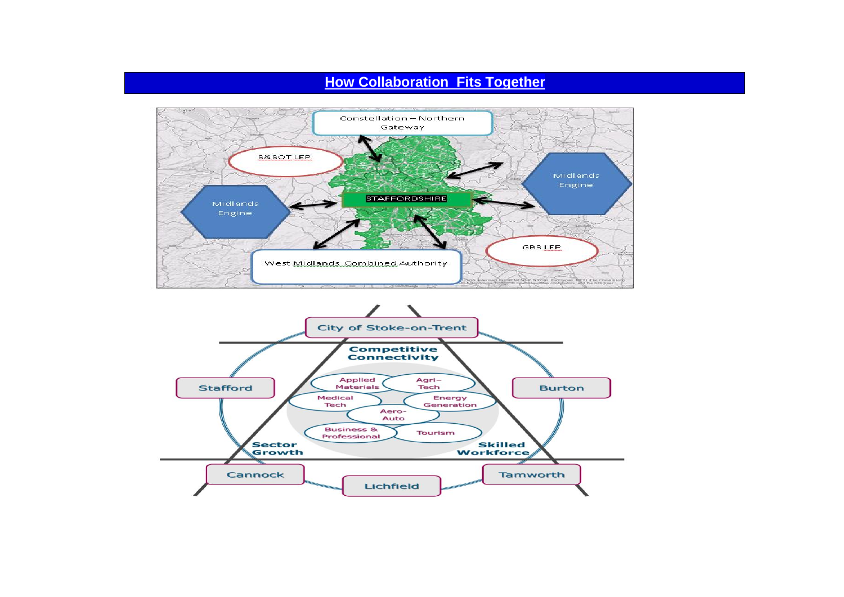# **How Collaboration Fits Together**



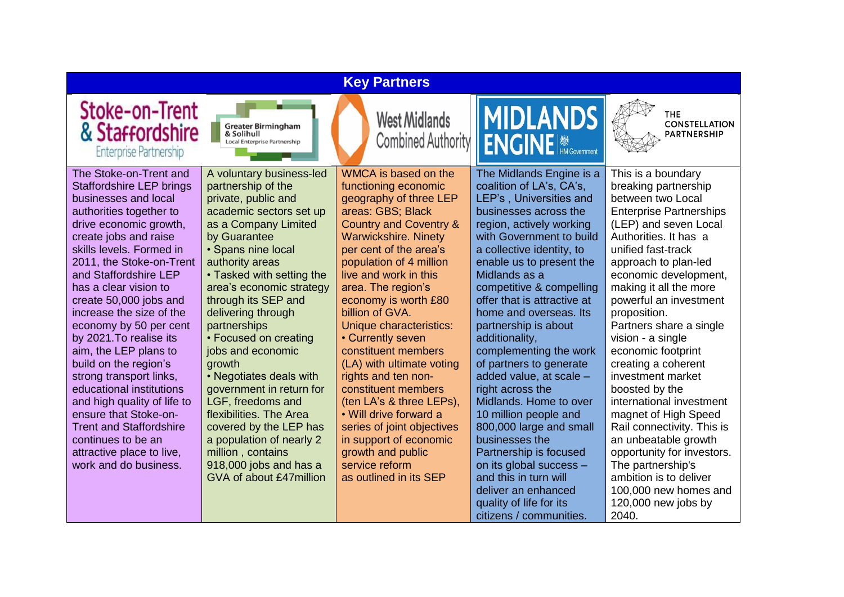| <b>Key Partners</b>                                                                                                                                                                                                                                                                                                                                                                                                                                                                                                                                                                                                                                                                                                                                                                                                                                                                                                                                                                                                                                                                                                                                                                                                                                                                                                                                                                                                                                                                                                                                                                                                                                                                                                                                                                                                                                                                                                                                                                                                                                                                                                                                                                                                                                                                                                                                                                                                                                                                                                                                                                                                                               |                                                                                                                                                                                                                                                                                                                                                                                                                                                                                                                                                                                                                                                                           |
|---------------------------------------------------------------------------------------------------------------------------------------------------------------------------------------------------------------------------------------------------------------------------------------------------------------------------------------------------------------------------------------------------------------------------------------------------------------------------------------------------------------------------------------------------------------------------------------------------------------------------------------------------------------------------------------------------------------------------------------------------------------------------------------------------------------------------------------------------------------------------------------------------------------------------------------------------------------------------------------------------------------------------------------------------------------------------------------------------------------------------------------------------------------------------------------------------------------------------------------------------------------------------------------------------------------------------------------------------------------------------------------------------------------------------------------------------------------------------------------------------------------------------------------------------------------------------------------------------------------------------------------------------------------------------------------------------------------------------------------------------------------------------------------------------------------------------------------------------------------------------------------------------------------------------------------------------------------------------------------------------------------------------------------------------------------------------------------------------------------------------------------------------------------------------------------------------------------------------------------------------------------------------------------------------------------------------------------------------------------------------------------------------------------------------------------------------------------------------------------------------------------------------------------------------------------------------------------------------------------------------------------------------|---------------------------------------------------------------------------------------------------------------------------------------------------------------------------------------------------------------------------------------------------------------------------------------------------------------------------------------------------------------------------------------------------------------------------------------------------------------------------------------------------------------------------------------------------------------------------------------------------------------------------------------------------------------------------|
| Stoke-on-Trent<br><b>MIDLANDS</b><br><b>West Midlands</b><br><b>Greater Birmingham</b><br>& Staffordshire<br>& Solihull<br>Combined Authority <b>FNGINE</b><br>Local Enterprise Partnership<br>Enterprise Partnership                                                                                                                                                                                                                                                                                                                                                                                                                                                                                                                                                                                                                                                                                                                                                                                                                                                                                                                                                                                                                                                                                                                                                                                                                                                                                                                                                                                                                                                                                                                                                                                                                                                                                                                                                                                                                                                                                                                                                                                                                                                                                                                                                                                                                                                                                                                                                                                                                             | <b>THE</b><br><b>CONSTELLATION</b><br><b>PARTNERSHIP</b>                                                                                                                                                                                                                                                                                                                                                                                                                                                                                                                                                                                                                  |
| The Stoke-on-Trent and<br>A voluntary business-led<br>WMCA is based on the<br>The Midlands Engine is a<br><b>Staffordshire LEP brings</b><br>partnership of the<br>coalition of LA's, CA's,<br>functioning economic<br>LEP's, Universities and<br>businesses and local<br>private, public and<br>geography of three LEP<br>academic sectors set up<br>areas: GBS; Black<br>authorities together to<br>businesses across the<br><b>Country and Coventry &amp;</b><br>region, actively working<br>drive economic growth,<br>as a Company Limited<br>create jobs and raise<br><b>Warwickshire. Ninety</b><br>with Government to build<br>by Guarantee<br>skills levels. Formed in<br>· Spans nine local<br>per cent of the area's<br>a collective identity, to<br>2011, the Stoke-on-Trent<br>population of 4 million<br>authority areas<br>enable us to present the<br>and Staffordshire LEP<br>• Tasked with setting the<br>live and work in this<br>Midlands as a<br>has a clear vision to<br>area's economic strategy<br>area. The region's<br>competitive & compelling<br>through its SEP and<br>offer that is attractive at<br>create 50,000 jobs and<br>economy is worth £80<br>increase the size of the<br>delivering through<br>billion of GVA.<br>home and overseas. Its<br>partnerships<br>Unique characteristics:<br>partnership is about<br>economy by 50 per cent<br>by 2021. To realise its<br>• Focused on creating<br>additionality,<br>• Currently seven<br>jobs and economic<br>constituent members<br>complementing the work<br>aim, the LEP plans to<br>build on the region's<br>of partners to generate<br>growth<br>(LA) with ultimate voting<br>strong transport links,<br>• Negotiates deals with<br>rights and ten non-<br>added value, at scale -<br>educational institutions<br>government in return for<br>constituent members<br>right across the<br>LGF, freedoms and<br>(ten LA's & three LEPs),<br>Midlands. Home to over<br>and high quality of life to<br>flexibilities. The Area<br>• Will drive forward a<br>ensure that Stoke-on-<br>10 million people and<br><b>Trent and Staffordshire</b><br>800,000 large and small<br>covered by the LEP has<br>series of joint objectives<br>businesses the<br>continues to be an<br>a population of nearly 2<br>in support of economic<br>million, contains<br>growth and public<br>Partnership is focused<br>attractive place to live,<br>918,000 jobs and has a<br>on its global success -<br>work and do business.<br>service reform<br>GVA of about £47million<br>as outlined in its SEP<br>and this in turn will<br>deliver an enhanced<br>quality of life for its | This is a boundary<br>breaking partnership<br>between two Local<br><b>Enterprise Partnerships</b><br>(LEP) and seven Local<br>Authorities. It has a<br>unified fast-track<br>approach to plan-led<br>economic development,<br>making it all the more<br>powerful an investment<br>proposition.<br>Partners share a single<br>vision - a single<br>economic footprint<br>creating a coherent<br>investment market<br>boosted by the<br>international investment<br>magnet of High Speed<br>Rail connectivity. This is<br>an unbeatable growth<br>opportunity for investors.<br>The partnership's<br>ambition is to deliver<br>100,000 new homes and<br>120,000 new jobs by |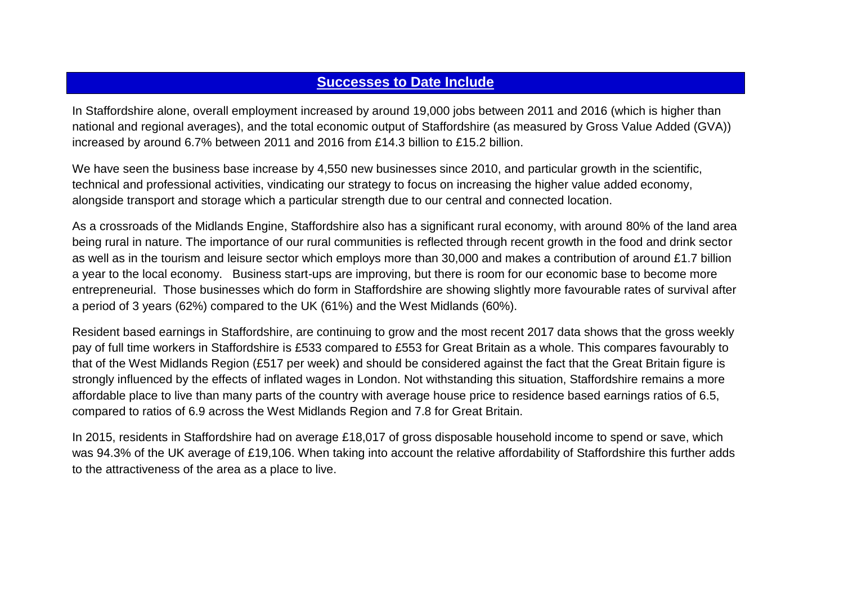## **Successes to Date Include**

In Staffordshire alone, overall employment increased by around 19,000 jobs between 2011 and 2016 (which is higher than national and regional averages), and the total economic output of Staffordshire (as measured by Gross Value Added (GVA)) increased by around 6.7% between 2011 and 2016 from £14.3 billion to £15.2 billion.

We have seen the business base increase by 4,550 new businesses since 2010, and particular growth in the scientific, technical and professional activities, vindicating our strategy to focus on increasing the higher value added economy, alongside transport and storage which a particular strength due to our central and connected location.

As a crossroads of the Midlands Engine, Staffordshire also has a significant rural economy, with around 80% of the land area being rural in nature. The importance of our rural communities is reflected through recent growth in the food and drink sector as well as in the tourism and leisure sector which employs more than 30,000 and makes a contribution of around £1.7 billion a year to the local economy. Business start-ups are improving, but there is room for our economic base to become more entrepreneurial. Those businesses which do form in Staffordshire are showing slightly more favourable rates of survival after a period of 3 years (62%) compared to the UK (61%) and the West Midlands (60%).

Resident based earnings in Staffordshire, are continuing to grow and the most recent 2017 data shows that the gross weekly pay of full time workers in Staffordshire is £533 compared to £553 for Great Britain as a whole. This compares favourably to that of the West Midlands Region (£517 per week) and should be considered against the fact that the Great Britain figure is strongly influenced by the effects of inflated wages in London. Not withstanding this situation, Staffordshire remains a more affordable place to live than many parts of the country with average house price to residence based earnings ratios of 6.5, compared to ratios of 6.9 across the West Midlands Region and 7.8 for Great Britain.

In 2015, residents in Staffordshire had on average £18,017 of gross disposable household income to spend or save, which was 94.3% of the UK average of £19,106. When taking into account the relative affordability of Staffordshire this further adds to the attractiveness of the area as a place to live.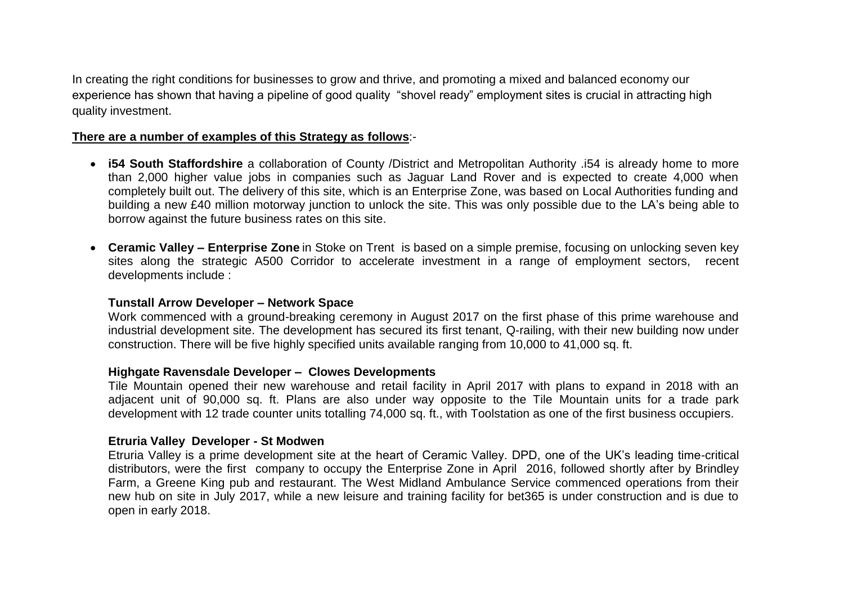In creating the right conditions for businesses to grow and thrive, and promoting a mixed and balanced economy our experience has shown that having a pipeline of good quality "shovel ready" employment sites is crucial in attracting high quality investment.

### **There are a number of examples of this Strategy as follows**:-

- **i54 South Staffordshire** a collaboration of County /District and Metropolitan Authority .i54 is already home to more than 2,000 higher value jobs in companies such as Jaguar Land Rover and is expected to create 4,000 when completely built out. The delivery of this site, which is an Enterprise Zone, was based on Local Authorities funding and building a new £40 million motorway junction to unlock the site. This was only possible due to the LA's being able to borrow against the future business rates on this site.
- **Ceramic Valley – Enterprise Zone** in Stoke on Trent is based on a simple premise, focusing on unlocking seven key sites along the strategic A500 Corridor to accelerate investment in a range of employment sectors, recent developments include :

#### **Tunstall Arrow Developer – Network Space**

Work commenced with a ground-breaking ceremony in August 2017 on the first phase of this prime warehouse and industrial development site. The development has secured its first tenant, Q-railing, with their new building now under construction. There will be five highly specified units available ranging from 10,000 to 41,000 sq. ft.

#### **Highgate Ravensdale Developer – Clowes Developments**

Tile Mountain opened their new warehouse and retail facility in April 2017 with plans to expand in 2018 with an adjacent unit of 90,000 sq. ft. Plans are also under way opposite to the Tile Mountain units for a trade park development with 12 trade counter units totalling 74,000 sq. ft., with Toolstation as one of the first business occupiers.

#### **Etruria Valley Developer - St Modwen**

Etruria Valley is a prime development site at the heart of Ceramic Valley. DPD, one of the UK's leading time-critical distributors, were the first company to occupy the Enterprise Zone in April 2016, followed shortly after by Brindley Farm, a Greene King pub and restaurant. The West Midland Ambulance Service commenced operations from their new hub on site in July 2017, while a new leisure and training facility for bet365 is under construction and is due to open in early 2018.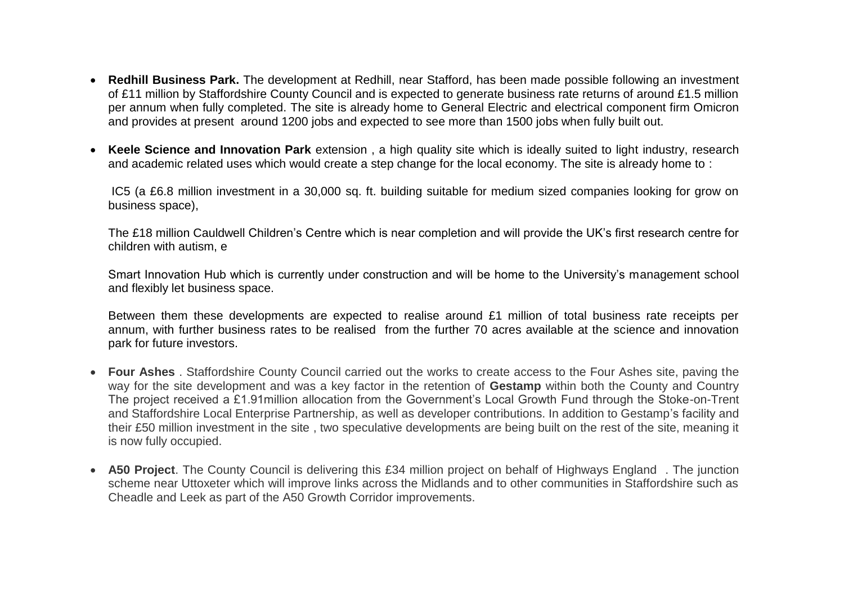- **Redhill Business Park.** The development at Redhill, near Stafford, has been made possible following an investment of £11 million by Staffordshire County Council and is expected to generate business rate returns of around £1.5 million per annum when fully completed. The site is already home to General Electric and electrical component firm Omicron and provides at present around 1200 jobs and expected to see more than 1500 jobs when fully built out.
- **Keele Science and Innovation Park** extension , a high quality site which is ideally suited to light industry, research and academic related uses which would create a step change for the local economy. The site is already home to :

IC5 (a £6.8 million investment in a 30,000 sq. ft. building suitable for medium sized companies looking for grow on business space),

The £18 million Cauldwell Children's Centre which is near completion and will provide the UK's first research centre for children with autism, e

Smart Innovation Hub which is currently under construction and will be home to the University's management school and flexibly let business space.

Between them these developments are expected to realise around £1 million of total business rate receipts per annum, with further business rates to be realised from the further 70 acres available at the science and innovation park for future investors.

- **Four Ashes** . Staffordshire County Council carried out the works to create access to the Four Ashes site, paving the way for the site development and was a key factor in the retention of **Gestamp** within both the County and Country The project received a £1.91million allocation from the Government's Local Growth Fund through the Stoke-on-Trent and Staffordshire Local Enterprise Partnership, as well as developer contributions. In addition to Gestamp's facility and their £50 million investment in the site , two speculative developments are being built on the rest of the site, meaning it is now fully occupied.
- **A50 Project**. The County Council is delivering this £34 million project on behalf of Highways England . The junction scheme near Uttoxeter which will improve links across the Midlands and to other communities in Staffordshire such as Cheadle and Leek as part of the A50 Growth Corridor improvements.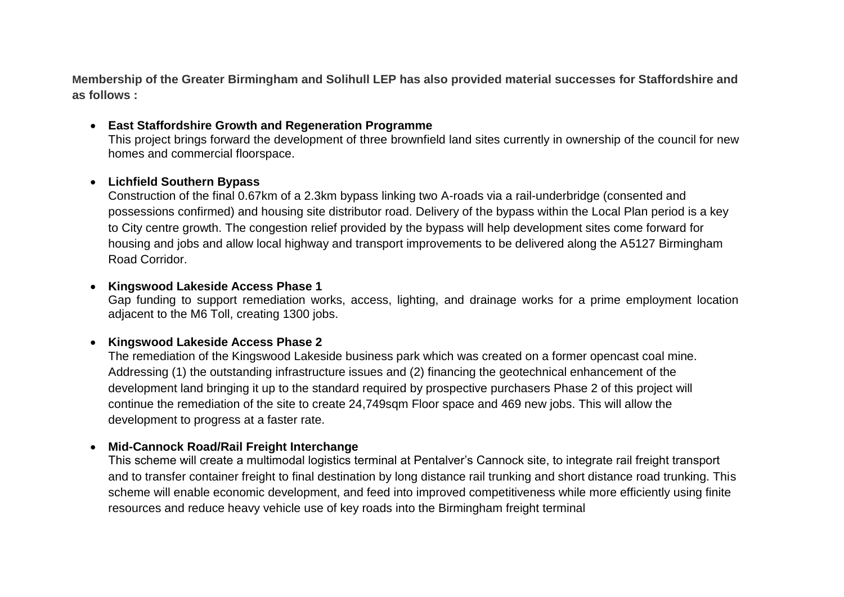**Membership of the Greater Birmingham and Solihull LEP has also provided material successes for Staffordshire and as follows :**

**East Staffordshire Growth and Regeneration Programme** 

This project brings forward the development of three brownfield land sites currently in ownership of the council for new homes and commercial floorspace.

### **Lichfield Southern Bypass**

Construction of the final 0.67km of a 2.3km bypass linking two A-roads via a rail-underbridge (consented and possessions confirmed) and housing site distributor road. Delivery of the bypass within the Local Plan period is a key to City centre growth. The congestion relief provided by the bypass will help development sites come forward for housing and jobs and allow local highway and transport improvements to be delivered along the A5127 Birmingham Road Corridor.

### **Kingswood Lakeside Access Phase 1**

Gap funding to support remediation works, access, lighting, and drainage works for a prime employment location adjacent to the M6 Toll, creating 1300 jobs.

### **Kingswood Lakeside Access Phase 2**

The remediation of the Kingswood Lakeside business park which was created on a former opencast coal mine. Addressing (1) the outstanding infrastructure issues and (2) financing the geotechnical enhancement of the development land bringing it up to the standard required by prospective purchasers Phase 2 of this project will continue the remediation of the site to create 24,749sqm Floor space and 469 new jobs. This will allow the development to progress at a faster rate.

## **Mid-Cannock Road/Rail Freight Interchange**

This scheme will create a multimodal logistics terminal at Pentalver's Cannock site, to integrate rail freight transport and to transfer container freight to final destination by long distance rail trunking and short distance road trunking. This scheme will enable economic development, and feed into improved competitiveness while more efficiently using finite resources and reduce heavy vehicle use of key roads into the Birmingham freight terminal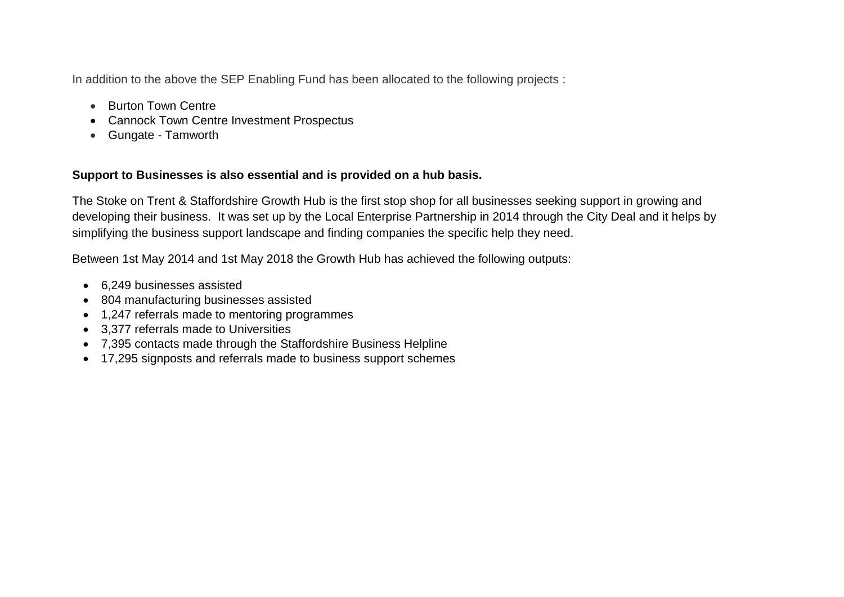In addition to the above the SEP Enabling Fund has been allocated to the following projects :

- **Burton Town Centre**
- Cannock Town Centre Investment Prospectus
- Gungate Tamworth

## **Support to Businesses is also essential and is provided on a hub basis.**

The Stoke on Trent & Staffordshire Growth Hub is the first stop shop for all businesses seeking support in growing and developing their business. It was set up by the Local Enterprise Partnership in 2014 through the City Deal and it helps by simplifying the business support landscape and finding companies the specific help they need.

Between 1st May 2014 and 1st May 2018 the Growth Hub has achieved the following outputs:

- 6,249 businesses assisted
- 804 manufacturing businesses assisted
- 1,247 referrals made to mentoring programmes
- 3.377 referrals made to Universities
- 7,395 contacts made through the Staffordshire Business Helpline
- 17,295 signposts and referrals made to business support schemes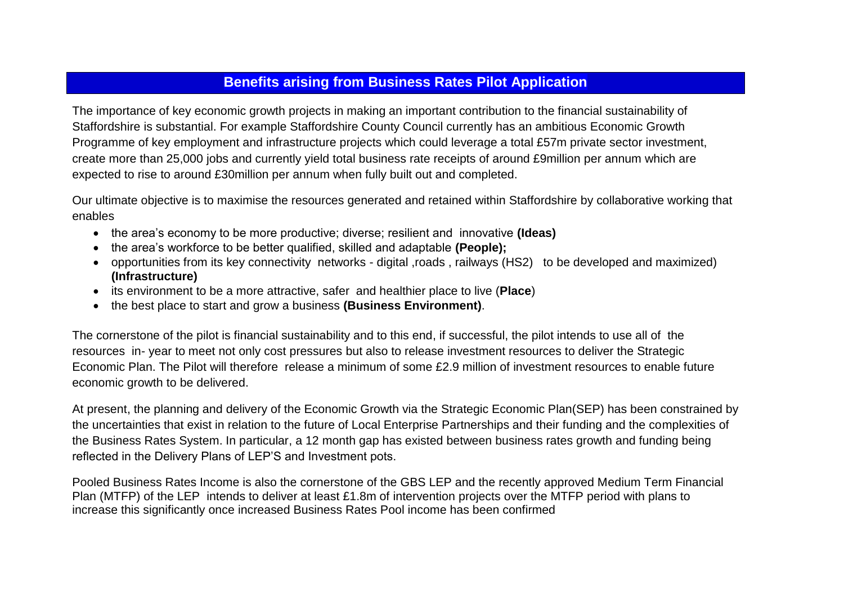# **Benefits arising from Business Rates Pilot Application**

The importance of key economic growth projects in making an important contribution to the financial sustainability of Staffordshire is substantial. For example Staffordshire County Council currently has an ambitious Economic Growth Programme of key employment and infrastructure projects which could leverage a total £57m private sector investment, create more than 25,000 jobs and currently yield total business rate receipts of around £9million per annum which are expected to rise to around £30million per annum when fully built out and completed.

Our ultimate objective is to maximise the resources generated and retained within Staffordshire by collaborative working that enables

- the area's economy to be more productive; diverse; resilient and innovative **(Ideas)**
- the area's workforce to be better qualified, skilled and adaptable **(People);**
- opportunities from its key connectivity networks digital ,roads , railways (HS2) to be developed and maximized) **(Infrastructure)**
- its environment to be a more attractive, safer and healthier place to live (**Place**)
- the best place to start and grow a business **(Business Environment)**.

The cornerstone of the pilot is financial sustainability and to this end, if successful, the pilot intends to use all of the resources in- year to meet not only cost pressures but also to release investment resources to deliver the Strategic Economic Plan. The Pilot will therefore release a minimum of some £2.9 million of investment resources to enable future economic growth to be delivered.

At present, the planning and delivery of the Economic Growth via the Strategic Economic Plan(SEP) has been constrained by the uncertainties that exist in relation to the future of Local Enterprise Partnerships and their funding and the complexities of the Business Rates System. In particular, a 12 month gap has existed between business rates growth and funding being reflected in the Delivery Plans of LEP'S and Investment pots.

Pooled Business Rates Income is also the cornerstone of the GBS LEP and the recently approved Medium Term Financial Plan (MTFP) of the LEP intends to deliver at least £1.8m of intervention projects over the MTFP period with plans to increase this significantly once increased Business Rates Pool income has been confirmed